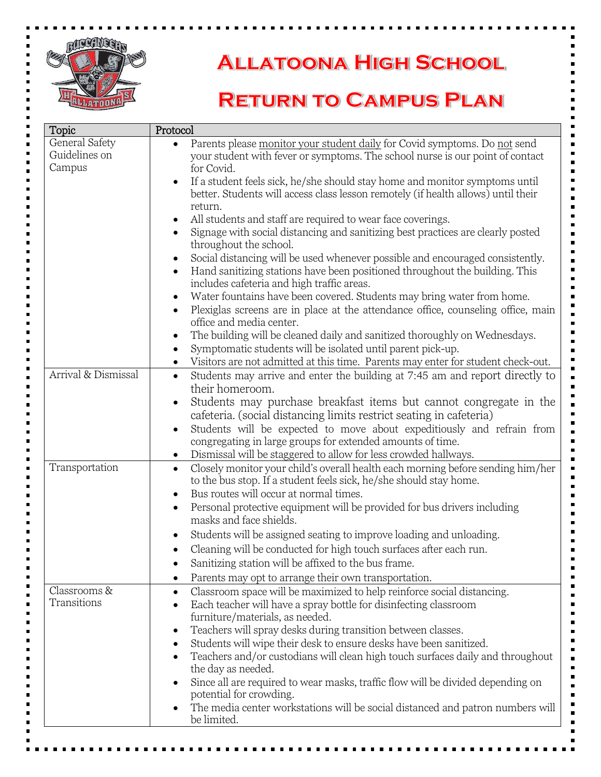

## **ALLATOONA HIGH SCHOOL**

## **RETURN TO CAMPUS PLAN**

| Topic               | Protocol                                                                                                                                               |  |
|---------------------|--------------------------------------------------------------------------------------------------------------------------------------------------------|--|
| General Safety      | Parents please monitor your student daily for Covid symptoms. Do not send<br>$\bullet$                                                                 |  |
| Guidelines on       | your student with fever or symptoms. The school nurse is our point of contact                                                                          |  |
| Campus              | for Covid.                                                                                                                                             |  |
|                     | If a student feels sick, he/she should stay home and monitor symptoms until<br>$\bullet$                                                               |  |
|                     | better. Students will access class lesson remotely (if health allows) until their                                                                      |  |
|                     | return.                                                                                                                                                |  |
|                     | All students and staff are required to wear face coverings.<br>$\bullet$                                                                               |  |
|                     | Signage with social distancing and sanitizing best practices are clearly posted<br>throughout the school.                                              |  |
|                     | Social distancing will be used whenever possible and encouraged consistently.<br>$\bullet$                                                             |  |
|                     | Hand sanitizing stations have been positioned throughout the building. This<br>$\bullet$<br>includes cafeteria and high traffic areas.                 |  |
|                     | Water fountains have been covered. Students may bring water from home.<br>$\bullet$                                                                    |  |
|                     | Plexiglas screens are in place at the attendance office, counseling office, main<br>$\bullet$<br>office and media center.                              |  |
|                     | The building will be cleaned daily and sanitized thoroughly on Wednesdays.<br>$\bullet$                                                                |  |
|                     | Symptomatic students will be isolated until parent pick-up.<br>$\bullet$                                                                               |  |
| Arrival & Dismissal | Visitors are not admitted at this time. Parents may enter for student check-out.<br>$\bullet$                                                          |  |
|                     | Students may arrive and enter the building at 7:45 am and report directly to<br>$\bullet$<br>their homeroom.                                           |  |
|                     |                                                                                                                                                        |  |
|                     | Students may purchase breakfast items but cannot congregate in the<br>$\bullet$<br>cafeteria. (social distancing limits restrict seating in cafeteria) |  |
|                     | Students will be expected to move about expeditiously and refrain from<br>$\bullet$                                                                    |  |
|                     | congregating in large groups for extended amounts of time.                                                                                             |  |
|                     | Dismissal will be staggered to allow for less crowded hallways.<br>$\bullet$                                                                           |  |
| Transportation      | Closely monitor your child's overall health each morning before sending him/her<br>$\bullet$                                                           |  |
|                     | to the bus stop. If a student feels sick, he/she should stay home.                                                                                     |  |
|                     | Bus routes will occur at normal times.<br>$\bullet$                                                                                                    |  |
|                     | Personal protective equipment will be provided for bus drivers including<br>$\bullet$                                                                  |  |
|                     | masks and face shields.                                                                                                                                |  |
|                     | Students will be assigned seating to improve loading and unloading.<br>$\bullet$                                                                       |  |
|                     | Cleaning will be conducted for high touch surfaces after each run.                                                                                     |  |
|                     | Sanitizing station will be affixed to the bus frame.                                                                                                   |  |
|                     | Parents may opt to arrange their own transportation.                                                                                                   |  |
| Classrooms &        | Classroom space will be maximized to help reinforce social distancing.<br>$\bullet$                                                                    |  |
| Transitions         | Each teacher will have a spray bottle for disinfecting classroom                                                                                       |  |
|                     | furniture/materials, as needed.                                                                                                                        |  |
|                     | Teachers will spray desks during transition between classes.<br>٠                                                                                      |  |
|                     | Students will wipe their desk to ensure desks have been sanitized.<br>٠                                                                                |  |
|                     | Teachers and/or custodians will clean high touch surfaces daily and throughout                                                                         |  |
|                     | the day as needed.                                                                                                                                     |  |
|                     | Since all are required to wear masks, traffic flow will be divided depending on<br>$\bullet$                                                           |  |
|                     | potential for crowding.                                                                                                                                |  |
|                     | The media center workstations will be social distanced and patron numbers will<br>be limited.                                                          |  |
|                     |                                                                                                                                                        |  |